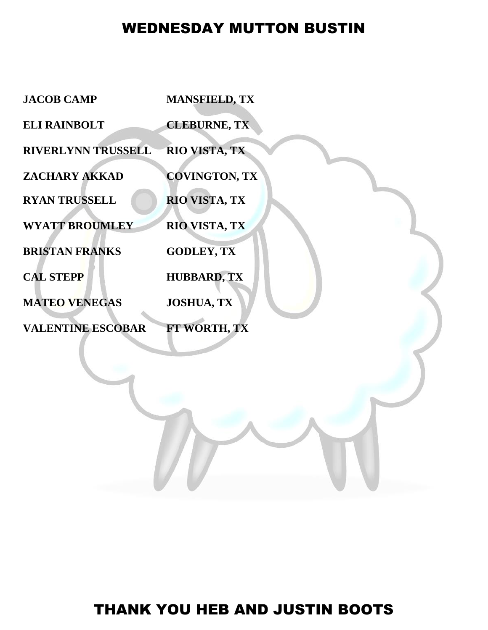## WEDNESDAY MUTTON BUSTIN

| <b>JACOB CAMP</b>         | <b>MANSFIELD, TX</b> |
|---------------------------|----------------------|
| <b>ELI RAINBOLT</b>       | <b>CLEBURNE, TX</b>  |
| <b>RIVERLYNN TRUSSELL</b> | RIO VISTA, TX        |
| ZACHARY AKKAD             | <b>COVINGTON, TX</b> |
| <b>RYAN TRUSSELL</b>      | RIO VISTA, TX        |
| <b>WYATT BROUMLEY</b>     | <b>RIO VISTA, TX</b> |
| <b>BRISTAN FRANKS</b>     | <b>GODLEY, TX</b>    |
| <b>CAL STEPP</b>          | <b>HUBBARD, TX</b>   |
| <b>MATEO VENEGAS</b>      | <b>JOSHUA, TX</b>    |
| <b>VALENTINE ESCOBAR</b>  | FT WORTH, TX         |
|                           |                      |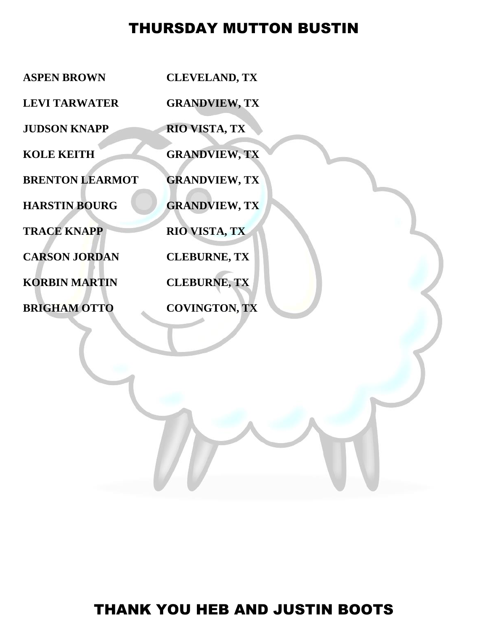## THURSDAY MUTTON BUSTIN

| <b>ASPEN BROWN</b>     | <b>CLEVELAND, TX</b> |
|------------------------|----------------------|
| <b>LEVI TARWATER</b>   | <b>GRANDVIEW, TX</b> |
| <b>JUDSON KNAPP</b>    | RIO VISTA, TX        |
| <b>KOLE KEITH</b>      | <b>GRANDVIEW, TX</b> |
| <b>BRENTON LEARMOT</b> | <b>GRANDVIEW, TX</b> |
| <b>HARSTIN BOURG</b>   | <b>GRANDVIEW, TX</b> |
| <b>TRACE KNAPP</b>     | <b>RIO VISTA, TX</b> |
| <b>CARSON JORDAN</b>   | <b>CLEBURNE, TX</b>  |
| <b>KORBIN MARTIN</b>   | <b>CLEBURNE, TX</b>  |
| <b>BRIGHAM OTTO</b>    | <b>COVINGTON, TX</b> |
|                        |                      |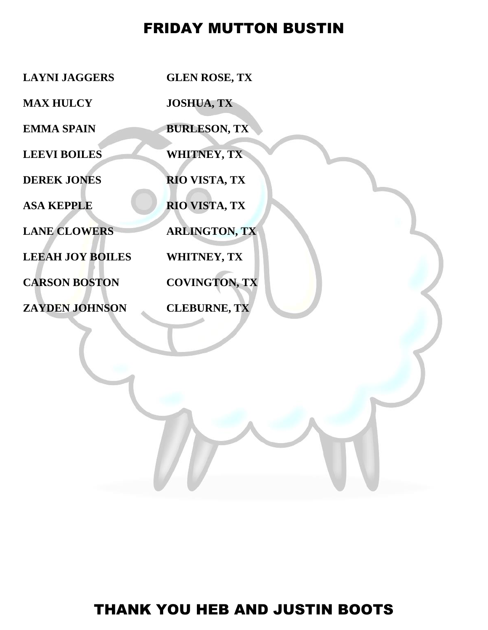## FRIDAY MUTTON BUSTIN

| <b>LAYNI JAGGERS</b>    | <b>GLEN ROSE, TX</b> |
|-------------------------|----------------------|
| <b>MAX HULCY</b>        | <b>JOSHUA, TX</b>    |
| <b>EMMA SPAIN</b>       | <b>BURLESON, TX</b>  |
| <b>LEEVI BOILES</b>     | <b>WHITNEY, TX</b>   |
| <b>DEREK JONES</b>      | RIO VISTA, TX        |
| <b>ASA KEPPLE</b>       | RIO VISTA, TX        |
| <b>LANE CLOWERS</b>     | <b>ARLINGTON, TX</b> |
| <b>LEEAH JOY BOILES</b> | <b>WHITNEY, TX</b>   |
| <b>CARSON BOSTON</b>    | <b>COVINGTON, TX</b> |
| <b>ZAYDEN JOHNSON</b>   | <b>CLEBURNE, TX</b>  |
|                         |                      |